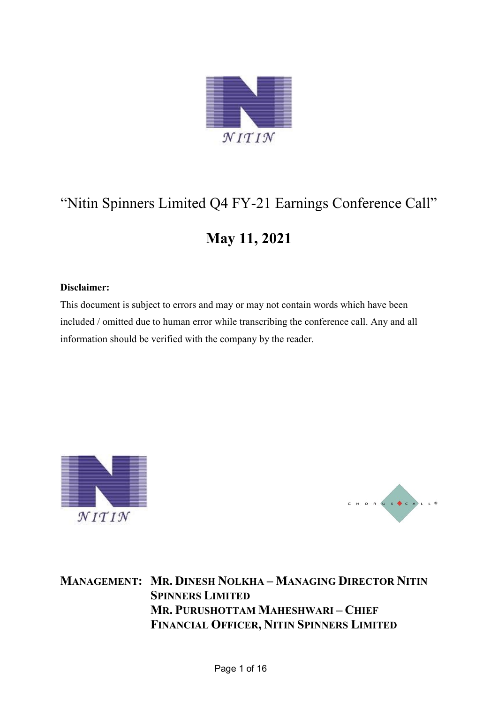

# "Nitin Spinners Limited Q4 FY-21 Earnings Conference Call"

## **May 11, 2021**

### **Disclaimer:**

This document is subject to errors and may or may not contain words which have been included / omitted due to human error while transcribing the conference call. Any and all information should be verified with the company by the reader.





**MANAGEMENT: MR. DINESH NOLKHA – MANAGING DIRECTOR NITIN SPINNERS LIMITED MR. PURUSHOTTAM MAHESHWARI – CHIEF FINANCIAL OFFICER, NITIN SPINNERS LIMITED**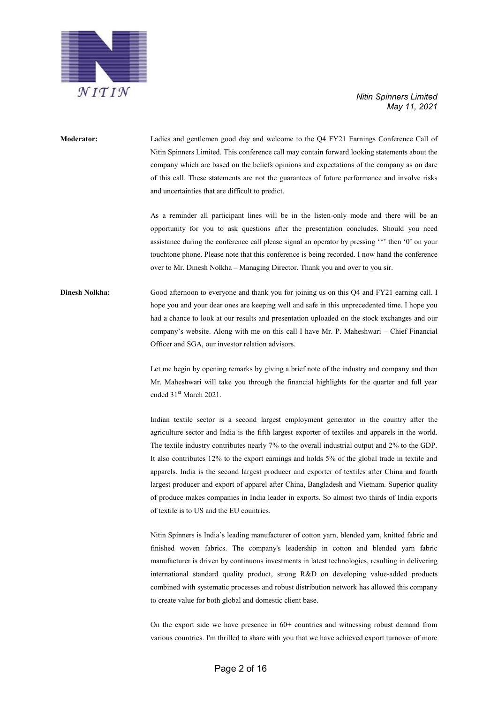

**Moderator:** Ladies and gentlemen good day and welcome to the Q4 FY21 Earnings Conference Call of Nitin Spinners Limited. This conference call may contain forward looking statements about the company which are based on the beliefs opinions and expectations of the company as on dare of this call. These statements are not the guarantees of future performance and involve risks and uncertainties that are difficult to predict.

> As a reminder all participant lines will be in the listen-only mode and there will be an opportunity for you to ask questions after the presentation concludes. Should you need assistance during the conference call please signal an operator by pressing '\*' then '0' on your touchtone phone. Please note that this conference is being recorded. I now hand the conference over to Mr. Dinesh Nolkha – Managing Director. Thank you and over to you sir.

**Dinesh Nolkha:** Good afternoon to everyone and thank you for joining us on this Q4 and FY21 earning call. I hope you and your dear ones are keeping well and safe in this unprecedented time. I hope you had a chance to look at our results and presentation uploaded on the stock exchanges and our company's website. Along with me on this call I have Mr. P. Maheshwari – Chief Financial Officer and SGA, our investor relation advisors.

> Let me begin by opening remarks by giving a brief note of the industry and company and then Mr. Maheshwari will take you through the financial highlights for the quarter and full year ended 31<sup>st</sup> March 2021.

> Indian textile sector is a second largest employment generator in the country after the agriculture sector and India is the fifth largest exporter of textiles and apparels in the world. The textile industry contributes nearly 7% to the overall industrial output and 2% to the GDP. It also contributes 12% to the export earnings and holds 5% of the global trade in textile and apparels. India is the second largest producer and exporter of textiles after China and fourth largest producer and export of apparel after China, Bangladesh and Vietnam. Superior quality of produce makes companies in India leader in exports. So almost two thirds of India exports of textile is to US and the EU countries.

> Nitin Spinners is India's leading manufacturer of cotton yarn, blended yarn, knitted fabric and finished woven fabrics. The company's leadership in cotton and blended yarn fabric manufacturer is driven by continuous investments in latest technologies, resulting in delivering international standard quality product, strong R&D on developing value-added products combined with systematic processes and robust distribution network has allowed this company to create value for both global and domestic client base.

> On the export side we have presence in 60+ countries and witnessing robust demand from various countries. I'm thrilled to share with you that we have achieved export turnover of more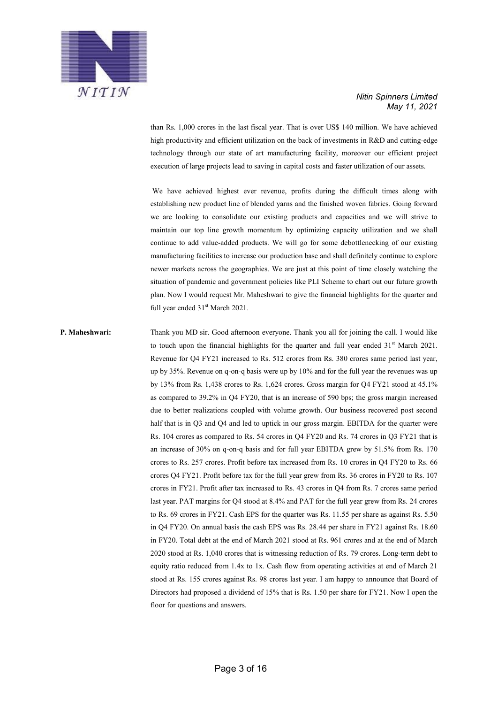

than Rs. 1,000 crores in the last fiscal year. That is over US\$ 140 million. We have achieved high productivity and efficient utilization on the back of investments in R&D and cutting-edge technology through our state of art manufacturing facility, moreover our efficient project execution of large projects lead to saving in capital costs and faster utilization of our assets.

We have achieved highest ever revenue, profits during the difficult times along with establishing new product line of blended yarns and the finished woven fabrics. Going forward we are looking to consolidate our existing products and capacities and we will strive to maintain our top line growth momentum by optimizing capacity utilization and we shall continue to add value-added products. We will go for some debottlenecking of our existing manufacturing facilities to increase our production base and shall definitely continue to explore newer markets across the geographies. We are just at this point of time closely watching the situation of pandemic and government policies like PLI Scheme to chart out our future growth plan. Now I would request Mr. Maheshwari to give the financial highlights for the quarter and full year ended  $31<sup>st</sup>$  March 2021.

**P. Maheshwari:** Thank you MD sir. Good afternoon everyone. Thank you all for joining the call. I would like to touch upon the financial highlights for the quarter and full year ended  $31<sup>st</sup>$  March 2021. Revenue for Q4 FY21 increased to Rs. 512 crores from Rs. 380 crores same period last year, up by 35%. Revenue on q-on-q basis were up by 10% and for the full year the revenues was up by 13% from Rs. 1,438 crores to Rs. 1,624 crores. Gross margin for Q4 FY21 stood at 45.1% as compared to 39.2% in Q4 FY20, that is an increase of 590 bps; the gross margin increased due to better realizations coupled with volume growth. Our business recovered post second half that is in Q3 and Q4 and led to uptick in our gross margin. EBITDA for the quarter were Rs. 104 crores as compared to Rs. 54 crores in Q4 FY20 and Rs. 74 crores in Q3 FY21 that is an increase of 30% on q-on-q basis and for full year EBITDA grew by 51.5% from Rs. 170 crores to Rs. 257 crores. Profit before tax increased from Rs. 10 crores in Q4 FY20 to Rs. 66 crores Q4 FY21. Profit before tax for the full year grew from Rs. 36 crores in FY20 to Rs. 107 crores in FY21. Profit after tax increased to Rs. 43 crores in Q4 from Rs. 7 crores same period last year. PAT margins for Q4 stood at 8.4% and PAT for the full year grew from Rs. 24 crores to Rs. 69 crores in FY21. Cash EPS for the quarter was Rs. 11.55 per share as against Rs. 5.50 in Q4 FY20. On annual basis the cash EPS was Rs. 28.44 per share in FY21 against Rs. 18.60 in FY20. Total debt at the end of March 2021 stood at Rs. 961 crores and at the end of March 2020 stood at Rs. 1,040 crores that is witnessing reduction of Rs. 79 crores. Long-term debt to equity ratio reduced from 1.4x to 1x. Cash flow from operating activities at end of March 21 stood at Rs. 155 crores against Rs. 98 crores last year. I am happy to announce that Board of Directors had proposed a dividend of 15% that is Rs. 1.50 per share for FY21. Now I open the floor for questions and answers.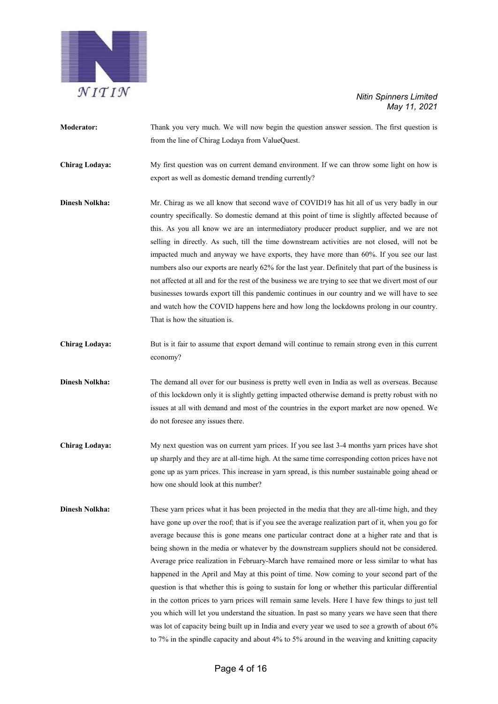

- **Moderator:** Thank you very much. We will now begin the question answer session. The first question is from the line of Chirag Lodaya from ValueQuest.
- **Chirag Lodaya:** My first question was on current demand environment. If we can throw some light on how is export as well as domestic demand trending currently?
- **Dinesh Nolkha:** Mr. Chirag as we all know that second wave of COVID19 has hit all of us very badly in our country specifically. So domestic demand at this point of time is slightly affected because of this. As you all know we are an intermediatory producer product supplier, and we are not selling in directly. As such, till the time downstream activities are not closed, will not be impacted much and anyway we have exports, they have more than 60%. If you see our last numbers also our exports are nearly 62% for the last year. Definitely that part of the business is not affected at all and for the rest of the business we are trying to see that we divert most of our businesses towards export till this pandemic continues in our country and we will have to see and watch how the COVID happens here and how long the lockdowns prolong in our country. That is how the situation is.
- **Chirag Lodaya:** But is it fair to assume that export demand will continue to remain strong even in this current economy?
- **Dinesh Nolkha:** The demand all over for our business is pretty well even in India as well as overseas. Because of this lockdown only it is slightly getting impacted otherwise demand is pretty robust with no issues at all with demand and most of the countries in the export market are now opened. We do not foresee any issues there.
- **Chirag Lodaya:** My next question was on current yarn prices. If you see last 3-4 months yarn prices have shot up sharply and they are at all-time high. At the same time corresponding cotton prices have not gone up as yarn prices. This increase in yarn spread, is this number sustainable going ahead or how one should look at this number?
- **Dinesh Nolkha:** These yarn prices what it has been projected in the media that they are all-time high, and they have gone up over the roof; that is if you see the average realization part of it, when you go for average because this is gone means one particular contract done at a higher rate and that is being shown in the media or whatever by the downstream suppliers should not be considered. Average price realization in February-March have remained more or less similar to what has happened in the April and May at this point of time. Now coming to your second part of the question is that whether this is going to sustain for long or whether this particular differential in the cotton prices to yarn prices will remain same levels. Here I have few things to just tell you which will let you understand the situation. In past so many years we have seen that there was lot of capacity being built up in India and every year we used to see a growth of about 6% to 7% in the spindle capacity and about 4% to 5% around in the weaving and knitting capacity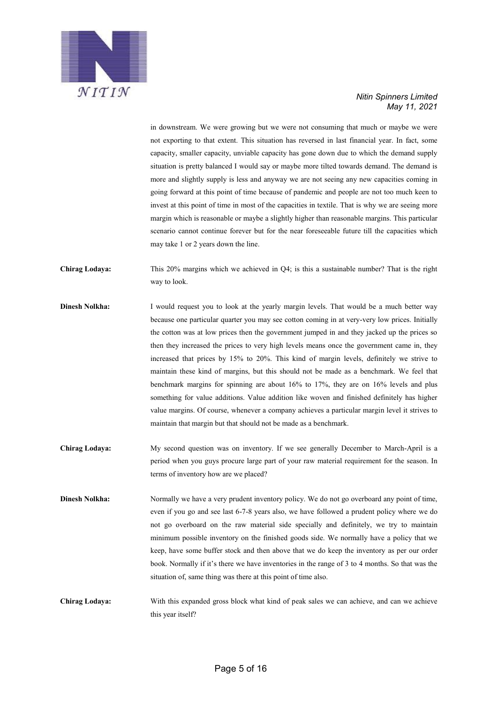

in downstream. We were growing but we were not consuming that much or maybe we were not exporting to that extent. This situation has reversed in last financial year. In fact, some capacity, smaller capacity, unviable capacity has gone down due to which the demand supply situation is pretty balanced I would say or maybe more tilted towards demand. The demand is more and slightly supply is less and anyway we are not seeing any new capacities coming in going forward at this point of time because of pandemic and people are not too much keen to invest at this point of time in most of the capacities in textile. That is why we are seeing more margin which is reasonable or maybe a slightly higher than reasonable margins. This particular scenario cannot continue forever but for the near foreseeable future till the capacities which may take 1 or 2 years down the line.

- **Chirag Lodaya:** This 20% margins which we achieved in Q4; is this a sustainable number? That is the right way to look.
- **Dinesh Nolkha:** I would request you to look at the yearly margin levels. That would be a much better way because one particular quarter you may see cotton coming in at very-very low prices. Initially the cotton was at low prices then the government jumped in and they jacked up the prices so then they increased the prices to very high levels means once the government came in, they increased that prices by 15% to 20%. This kind of margin levels, definitely we strive to maintain these kind of margins, but this should not be made as a benchmark. We feel that benchmark margins for spinning are about 16% to 17%, they are on 16% levels and plus something for value additions. Value addition like woven and finished definitely has higher value margins. Of course, whenever a company achieves a particular margin level it strives to maintain that margin but that should not be made as a benchmark.
- **Chirag Lodaya:** My second question was on inventory. If we see generally December to March-April is a period when you guys procure large part of your raw material requirement for the season. In terms of inventory how are we placed?
- **Dinesh Nolkha:** Normally we have a very prudent inventory policy. We do not go overboard any point of time, even if you go and see last 6-7-8 years also, we have followed a prudent policy where we do not go overboard on the raw material side specially and definitely, we try to maintain minimum possible inventory on the finished goods side. We normally have a policy that we keep, have some buffer stock and then above that we do keep the inventory as per our order book. Normally if it's there we have inventories in the range of 3 to 4 months. So that was the situation of, same thing was there at this point of time also.
- **Chirag Lodaya:** With this expanded gross block what kind of peak sales we can achieve, and can we achieve this year itself?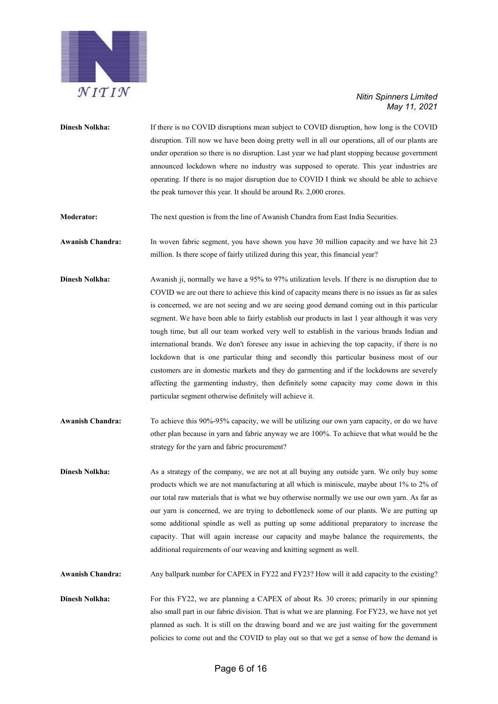

- **Dinesh Nolkha:** If there is no COVID disruptions mean subject to COVID disruption, how long is the COVID disruption. Till now we have been doing pretty well in all our operations, all of our plants are under operation so there is no disruption. Last year we had plant stopping because government announced lockdown where no industry was supposed to operate. This year industries are operating. If there is no major disruption due to COVID I think we should be able to achieve the peak turnover this year. It should be around Rs. 2,000 crores.
- **Moderator:** The next question is from the line of Awanish Chandra from East India Securities.

**Awanish Chandra:** In woven fabric segment, you have shown you have 30 million capacity and we have hit 23 million. Is there scope of fairly utilized during this year, this financial year?

- **Dinesh Nolkha:** Awanish ji, normally we have a 95% to 97% utilization levels. If there is no disruption due to COVID we are out there to achieve this kind of capacity means there is no issues as far as sales is concerned, we are not seeing and we are seeing good demand coming out in this particular segment. We have been able to fairly establish our products in last 1 year although it was very tough time, but all our team worked very well to establish in the various brands Indian and international brands. We don't foresee any issue in achieving the top capacity, if there is no lockdown that is one particular thing and secondly this particular business most of our customers are in domestic markets and they do garmenting and if the lockdowns are severely affecting the garmenting industry, then definitely some capacity may come down in this particular segment otherwise definitely will achieve it.
- **Awanish Chandra:** To achieve this 90%-95% capacity, we will be utilizing our own yarn capacity, or do we have other plan because in yarn and fabric anyway we are 100%. To achieve that what would be the strategy for the yarn and fabric procurement?
- **Dinesh Nolkha:** As a strategy of the company, we are not at all buying any outside yarn. We only buy some products which we are not manufacturing at all which is miniscule, maybe about 1% to 2% of our total raw materials that is what we buy otherwise normally we use our own yarn. As far as our yarn is concerned, we are trying to debottleneck some of our plants. We are putting up some additional spindle as well as putting up some additional preparatory to increase the capacity. That will again increase our capacity and maybe balance the requirements, the additional requirements of our weaving and knitting segment as well.

**Awanish Chandra:** Any ballpark number for CAPEX in FY22 and FY23? How will it add capacity to the existing?

**Dinesh Nolkha:** For this FY22, we are planning a CAPEX of about Rs. 30 crores; primarily in our spinning also small part in our fabric division. That is what we are planning. For FY23, we have not yet planned as such. It is still on the drawing board and we are just waiting for the government policies to come out and the COVID to play out so that we get a sense of how the demand is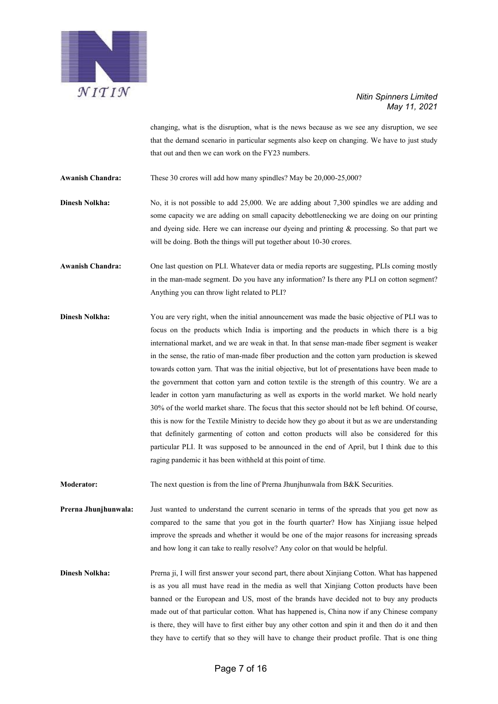

changing, what is the disruption, what is the news because as we see any disruption, we see that the demand scenario in particular segments also keep on changing. We have to just study that out and then we can work on the FY23 numbers.

**Awanish Chandra:** These 30 crores will add how many spindles? May be 20,000-25,000?

**Dinesh Nolkha:** No, it is not possible to add 25,000. We are adding about 7,300 spindles we are adding and some capacity we are adding on small capacity debottlenecking we are doing on our printing and dyeing side. Here we can increase our dyeing and printing  $\&$  processing. So that part we will be doing. Both the things will put together about 10-30 crores.

**Awanish Chandra:** One last question on PLI. Whatever data or media reports are suggesting, PLIs coming mostly in the man-made segment. Do you have any information? Is there any PLI on cotton segment? Anything you can throw light related to PLI?

**Dinesh Nolkha:** You are very right, when the initial announcement was made the basic objective of PLI was to focus on the products which India is importing and the products in which there is a big international market, and we are weak in that. In that sense man-made fiber segment is weaker in the sense, the ratio of man-made fiber production and the cotton yarn production is skewed towards cotton yarn. That was the initial objective, but lot of presentations have been made to the government that cotton yarn and cotton textile is the strength of this country. We are a leader in cotton yarn manufacturing as well as exports in the world market. We hold nearly 30% of the world market share. The focus that this sector should not be left behind. Of course, this is now for the Textile Ministry to decide how they go about it but as we are understanding that definitely garmenting of cotton and cotton products will also be considered for this particular PLI. It was supposed to be announced in the end of April, but I think due to this raging pandemic it has been withheld at this point of time.

**Moderator:** The next question is from the line of Prerna Jhunjhunwala from B&K Securities.

**Prerna Jhunjhunwala:** Just wanted to understand the current scenario in terms of the spreads that you get now as compared to the same that you got in the fourth quarter? How has Xinjiang issue helped improve the spreads and whether it would be one of the major reasons for increasing spreads and how long it can take to really resolve? Any color on that would be helpful.

**Dinesh Nolkha:** Prerna ji, I will first answer your second part, there about Xinjiang Cotton. What has happened is as you all must have read in the media as well that Xinjiang Cotton products have been banned or the European and US, most of the brands have decided not to buy any products made out of that particular cotton. What has happened is, China now if any Chinese company is there, they will have to first either buy any other cotton and spin it and then do it and then they have to certify that so they will have to change their product profile. That is one thing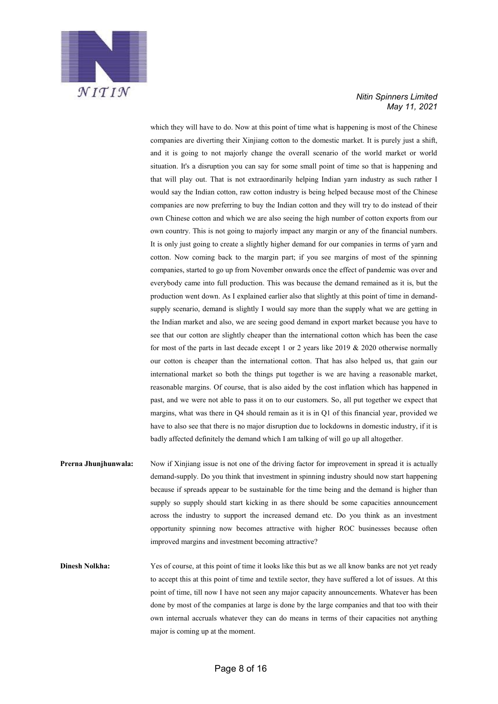

which they will have to do. Now at this point of time what is happening is most of the Chinese companies are diverting their Xinjiang cotton to the domestic market. It is purely just a shift, and it is going to not majorly change the overall scenario of the world market or world situation. It's a disruption you can say for some small point of time so that is happening and that will play out. That is not extraordinarily helping Indian yarn industry as such rather I would say the Indian cotton, raw cotton industry is being helped because most of the Chinese companies are now preferring to buy the Indian cotton and they will try to do instead of their own Chinese cotton and which we are also seeing the high number of cotton exports from our own country. This is not going to majorly impact any margin or any of the financial numbers. It is only just going to create a slightly higher demand for our companies in terms of yarn and cotton. Now coming back to the margin part; if you see margins of most of the spinning companies, started to go up from November onwards once the effect of pandemic was over and everybody came into full production. This was because the demand remained as it is, but the production went down. As I explained earlier also that slightly at this point of time in demandsupply scenario, demand is slightly I would say more than the supply what we are getting in the Indian market and also, we are seeing good demand in export market because you have to see that our cotton are slightly cheaper than the international cotton which has been the case for most of the parts in last decade except 1 or 2 years like  $2019 \& 2020$  otherwise normally our cotton is cheaper than the international cotton. That has also helped us, that gain our international market so both the things put together is we are having a reasonable market, reasonable margins. Of course, that is also aided by the cost inflation which has happened in past, and we were not able to pass it on to our customers. So, all put together we expect that margins, what was there in Q4 should remain as it is in Q1 of this financial year, provided we have to also see that there is no major disruption due to lockdowns in domestic industry, if it is badly affected definitely the demand which I am talking of will go up all altogether.

**Prerna Jhunjhunwala:** Now if Xinjiang issue is not one of the driving factor for improvement in spread it is actually demand-supply. Do you think that investment in spinning industry should now start happening because if spreads appear to be sustainable for the time being and the demand is higher than supply so supply should start kicking in as there should be some capacities announcement across the industry to support the increased demand etc. Do you think as an investment opportunity spinning now becomes attractive with higher ROC businesses because often improved margins and investment becoming attractive?

**Dinesh Nolkha:** Yes of course, at this point of time it looks like this but as we all know banks are not yet ready to accept this at this point of time and textile sector, they have suffered a lot of issues. At this point of time, till now I have not seen any major capacity announcements. Whatever has been done by most of the companies at large is done by the large companies and that too with their own internal accruals whatever they can do means in terms of their capacities not anything major is coming up at the moment.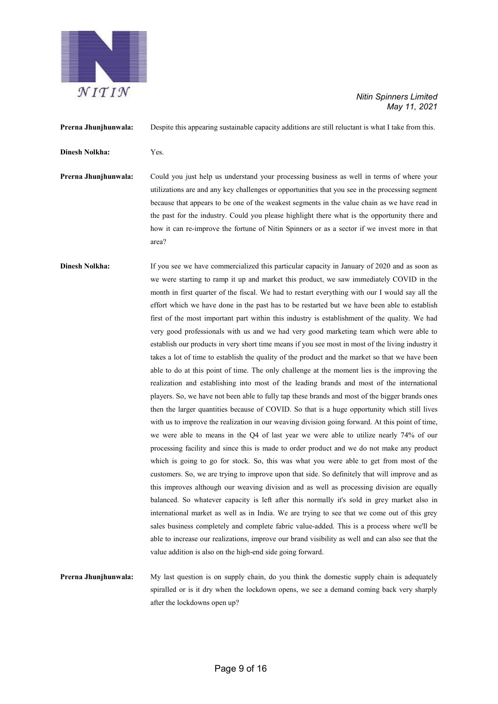

**Prerna Jhunjhunwala:** Despite this appearing sustainable capacity additions are still reluctant is what I take from this. **Dinesh Nolkha:** Yes. **Prerna Jhunjhunwala:** Could you just help us understand your processing business as well in terms of where your utilizations are and any key challenges or opportunities that you see in the processing segment because that appears to be one of the weakest segments in the value chain as we have read in the past for the industry. Could you please highlight there what is the opportunity there and how it can re-improve the fortune of Nitin Spinners or as a sector if we invest more in that area? **Dinesh Nolkha:** If you see we have commercialized this particular capacity in January of 2020 and as soon as we were starting to ramp it up and market this product, we saw immediately COVID in the month in first quarter of the fiscal. We had to restart everything with our I would say all the effort which we have done in the past has to be restarted but we have been able to establish first of the most important part within this industry is establishment of the quality. We had very good professionals with us and we had very good marketing team which were able to establish our products in very short time means if you see most in most of the living industry it takes a lot of time to establish the quality of the product and the market so that we have been able to do at this point of time. The only challenge at the moment lies is the improving the realization and establishing into most of the leading brands and most of the international players. So, we have not been able to fully tap these brands and most of the bigger brands ones then the larger quantities because of COVID. So that is a huge opportunity which still lives with us to improve the realization in our weaving division going forward. At this point of time, we were able to means in the Q4 of last year we were able to utilize nearly 74% of our processing facility and since this is made to order product and we do not make any product which is going to go for stock. So, this was what you were able to get from most of the customers. So, we are trying to improve upon that side. So definitely that will improve and as this improves although our weaving division and as well as processing division are equally balanced. So whatever capacity is left after this normally it's sold in grey market also in international market as well as in India. We are trying to see that we come out of this grey sales business completely and complete fabric value-added. This is a process where we'll be able to increase our realizations, improve our brand visibility as well and can also see that the value addition is also on the high-end side going forward.

**Prerna Jhunjhunwala:** My last question is on supply chain, do you think the domestic supply chain is adequately spiralled or is it dry when the lockdown opens, we see a demand coming back very sharply after the lockdowns open up?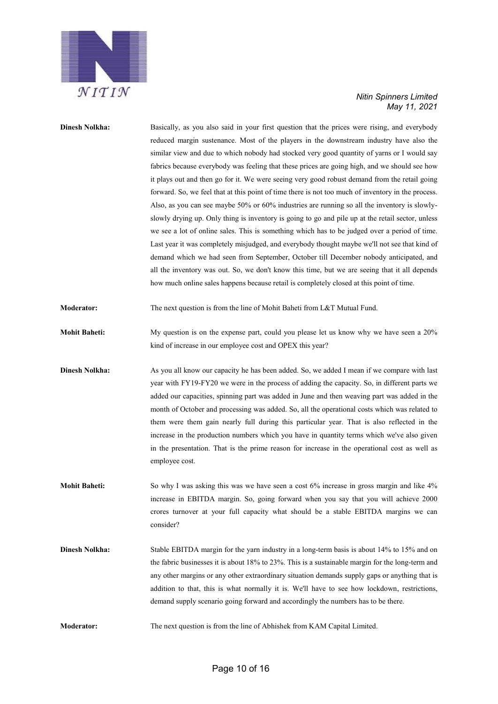

## **Dinesh Nolkha:** Basically, as you also said in your first question that the prices were rising, and everybody reduced margin sustenance. Most of the players in the downstream industry have also the similar view and due to which nobody had stocked very good quantity of yarns or I would say fabrics because everybody was feeling that these prices are going high, and we should see how it plays out and then go for it. We were seeing very good robust demand from the retail going forward. So, we feel that at this point of time there is not too much of inventory in the process. Also, as you can see maybe 50% or 60% industries are running so all the inventory is slowlyslowly drying up. Only thing is inventory is going to go and pile up at the retail sector, unless we see a lot of online sales. This is something which has to be judged over a period of time. Last year it was completely misjudged, and everybody thought maybe we'll not see that kind of demand which we had seen from September, October till December nobody anticipated, and all the inventory was out. So, we don't know this time, but we are seeing that it all depends how much online sales happens because retail is completely closed at this point of time. **Moderator:** The next question is from the line of Mohit Baheti from L&T Mutual Fund. **Mohit Baheti:** My question is on the expense part, could you please let us know why we have seen a 20% kind of increase in our employee cost and OPEX this year? **Dinesh Nolkha:** As you all know our capacity he has been added. So, we added I mean if we compare with last year with FY19-FY20 we were in the process of adding the capacity. So, in different parts we added our capacities, spinning part was added in June and then weaving part was added in the month of October and processing was added. So, all the operational costs which was related to them were them gain nearly full during this particular year. That is also reflected in the increase in the production numbers which you have in quantity terms which we've also given in the presentation. That is the prime reason for increase in the operational cost as well as employee cost. **Mohit Baheti:** So why I was asking this was we have seen a cost 6% increase in gross margin and like 4% increase in EBITDA margin. So, going forward when you say that you will achieve 2000 crores turnover at your full capacity what should be a stable EBITDA margins we can consider? **Dinesh Nolkha:** Stable EBITDA margin for the yarn industry in a long-term basis is about 14% to 15% and on

the fabric businesses it is about 18% to 23%. This is a sustainable margin for the long-term and any other margins or any other extraordinary situation demands supply gaps or anything that is addition to that, this is what normally it is. We'll have to see how lockdown, restrictions, demand supply scenario going forward and accordingly the numbers has to be there.

**Moderator:** The next question is from the line of Abhishek from KAM Capital Limited.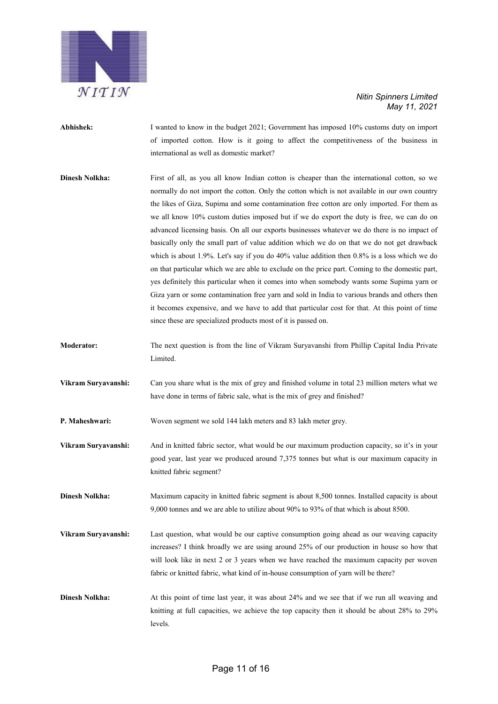

| Abhishek:             | I wanted to know in the budget 2021; Government has imposed 10% customs duty on import<br>of imported cotton. How is it going to affect the competitiveness of the business in<br>international as well as domestic market?                                                                                                                                                                                                                                                                                                                                                                                                                                                                                                                                                                                                                                                                                                                                                                                                                                                                                                                               |
|-----------------------|-----------------------------------------------------------------------------------------------------------------------------------------------------------------------------------------------------------------------------------------------------------------------------------------------------------------------------------------------------------------------------------------------------------------------------------------------------------------------------------------------------------------------------------------------------------------------------------------------------------------------------------------------------------------------------------------------------------------------------------------------------------------------------------------------------------------------------------------------------------------------------------------------------------------------------------------------------------------------------------------------------------------------------------------------------------------------------------------------------------------------------------------------------------|
| <b>Dinesh Nolkha:</b> | First of all, as you all know Indian cotton is cheaper than the international cotton, so we<br>normally do not import the cotton. Only the cotton which is not available in our own country<br>the likes of Giza, Supima and some contamination free cotton are only imported. For them as<br>we all know 10% custom duties imposed but if we do export the duty is free, we can do on<br>advanced licensing basis. On all our exports businesses whatever we do there is no impact of<br>basically only the small part of value addition which we do on that we do not get drawback<br>which is about 1.9%. Let's say if you do 40% value addition then $0.8\%$ is a loss which we do<br>on that particular which we are able to exclude on the price part. Coming to the domestic part,<br>yes definitely this particular when it comes into when somebody wants some Supima yarn or<br>Giza yarn or some contamination free yarn and sold in India to various brands and others then<br>it becomes expensive, and we have to add that particular cost for that. At this point of time<br>since these are specialized products most of it is passed on. |
| <b>Moderator:</b>     | The next question is from the line of Vikram Suryavanshi from Phillip Capital India Private<br>Limited.                                                                                                                                                                                                                                                                                                                                                                                                                                                                                                                                                                                                                                                                                                                                                                                                                                                                                                                                                                                                                                                   |
| Vikram Suryavanshi:   | Can you share what is the mix of grey and finished volume in total 23 million meters what we<br>have done in terms of fabric sale, what is the mix of grey and finished?                                                                                                                                                                                                                                                                                                                                                                                                                                                                                                                                                                                                                                                                                                                                                                                                                                                                                                                                                                                  |
| P. Maheshwari:        | Woven segment we sold 144 lakh meters and 83 lakh meter grey.                                                                                                                                                                                                                                                                                                                                                                                                                                                                                                                                                                                                                                                                                                                                                                                                                                                                                                                                                                                                                                                                                             |
| Vikram Suryavanshi:   | And in knitted fabric sector, what would be our maximum production capacity, so it's in your<br>good year, last year we produced around 7,375 tonnes but what is our maximum capacity in<br>knitted fabric segment?                                                                                                                                                                                                                                                                                                                                                                                                                                                                                                                                                                                                                                                                                                                                                                                                                                                                                                                                       |
| <b>Dinesh Nolkha:</b> | Maximum capacity in knitted fabric segment is about 8,500 tonnes. Installed capacity is about<br>9,000 tonnes and we are able to utilize about 90% to 93% of that which is about 8500.                                                                                                                                                                                                                                                                                                                                                                                                                                                                                                                                                                                                                                                                                                                                                                                                                                                                                                                                                                    |
| Vikram Suryavanshi:   | Last question, what would be our captive consumption going ahead as our weaving capacity<br>increases? I think broadly we are using around 25% of our production in house so how that<br>will look like in next 2 or 3 years when we have reached the maximum capacity per woven<br>fabric or knitted fabric, what kind of in-house consumption of yarn will be there?                                                                                                                                                                                                                                                                                                                                                                                                                                                                                                                                                                                                                                                                                                                                                                                    |
| <b>Dinesh Nolkha:</b> | At this point of time last year, it was about 24% and we see that if we run all weaving and<br>knitting at full capacities, we achieve the top capacity then it should be about 28% to 29%<br>levels.                                                                                                                                                                                                                                                                                                                                                                                                                                                                                                                                                                                                                                                                                                                                                                                                                                                                                                                                                     |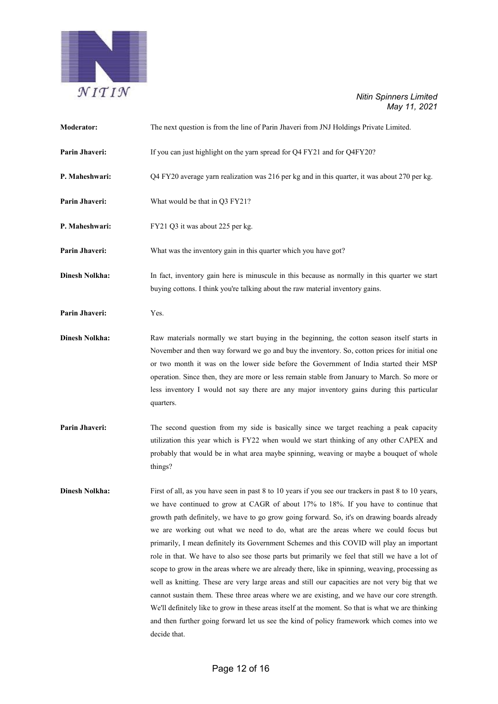

| Moderator:            | The next question is from the line of Parin Jhaveri from JNJ Holdings Private Limited.                                                                                                                                                                                                                                                                                                                                                                                                                                                                                                                                                                                                                                                                                                                                                                                                                                                                                                                                                                                                                    |
|-----------------------|-----------------------------------------------------------------------------------------------------------------------------------------------------------------------------------------------------------------------------------------------------------------------------------------------------------------------------------------------------------------------------------------------------------------------------------------------------------------------------------------------------------------------------------------------------------------------------------------------------------------------------------------------------------------------------------------------------------------------------------------------------------------------------------------------------------------------------------------------------------------------------------------------------------------------------------------------------------------------------------------------------------------------------------------------------------------------------------------------------------|
| Parin Jhaveri:        | If you can just highlight on the yarn spread for Q4 FY21 and for Q4FY20?                                                                                                                                                                                                                                                                                                                                                                                                                                                                                                                                                                                                                                                                                                                                                                                                                                                                                                                                                                                                                                  |
| P. Maheshwari:        | Q4 FY20 average yarn realization was 216 per kg and in this quarter, it was about 270 per kg.                                                                                                                                                                                                                                                                                                                                                                                                                                                                                                                                                                                                                                                                                                                                                                                                                                                                                                                                                                                                             |
| Parin Jhaveri:        | What would be that in Q3 FY21?                                                                                                                                                                                                                                                                                                                                                                                                                                                                                                                                                                                                                                                                                                                                                                                                                                                                                                                                                                                                                                                                            |
| P. Maheshwari:        | FY21 Q3 it was about 225 per kg.                                                                                                                                                                                                                                                                                                                                                                                                                                                                                                                                                                                                                                                                                                                                                                                                                                                                                                                                                                                                                                                                          |
| Parin Jhaveri:        | What was the inventory gain in this quarter which you have got?                                                                                                                                                                                                                                                                                                                                                                                                                                                                                                                                                                                                                                                                                                                                                                                                                                                                                                                                                                                                                                           |
| <b>Dinesh Nolkha:</b> | In fact, inventory gain here is minuscule in this because as normally in this quarter we start<br>buying cottons. I think you're talking about the raw material inventory gains.                                                                                                                                                                                                                                                                                                                                                                                                                                                                                                                                                                                                                                                                                                                                                                                                                                                                                                                          |
| Parin Jhaveri:        | Yes.                                                                                                                                                                                                                                                                                                                                                                                                                                                                                                                                                                                                                                                                                                                                                                                                                                                                                                                                                                                                                                                                                                      |
| <b>Dinesh Nolkha:</b> | Raw materials normally we start buying in the beginning, the cotton season itself starts in<br>November and then way forward we go and buy the inventory. So, cotton prices for initial one<br>or two month it was on the lower side before the Government of India started their MSP<br>operation. Since then, they are more or less remain stable from January to March. So more or<br>less inventory I would not say there are any major inventory gains during this particular<br>quarters.                                                                                                                                                                                                                                                                                                                                                                                                                                                                                                                                                                                                           |
| Parin Jhaveri:        | The second question from my side is basically since we target reaching a peak capacity<br>utilization this year which is FY22 when would we start thinking of any other CAPEX and<br>probably that would be in what area maybe spinning, weaving or maybe a bouquet of whole<br>things?                                                                                                                                                                                                                                                                                                                                                                                                                                                                                                                                                                                                                                                                                                                                                                                                                   |
| <b>Dinesh Nolkha:</b> | First of all, as you have seen in past 8 to 10 years if you see our trackers in past 8 to 10 years,<br>we have continued to grow at CAGR of about 17% to 18%. If you have to continue that<br>growth path definitely, we have to go grow going forward. So, it's on drawing boards already<br>we are working out what we need to do, what are the areas where we could focus but<br>primarily, I mean definitely its Government Schemes and this COVID will play an important<br>role in that. We have to also see those parts but primarily we feel that still we have a lot of<br>scope to grow in the areas where we are already there, like in spinning, weaving, processing as<br>well as knitting. These are very large areas and still our capacities are not very big that we<br>cannot sustain them. These three areas where we are existing, and we have our core strength.<br>We'll definitely like to grow in these areas itself at the moment. So that is what we are thinking<br>and then further going forward let us see the kind of policy framework which comes into we<br>decide that. |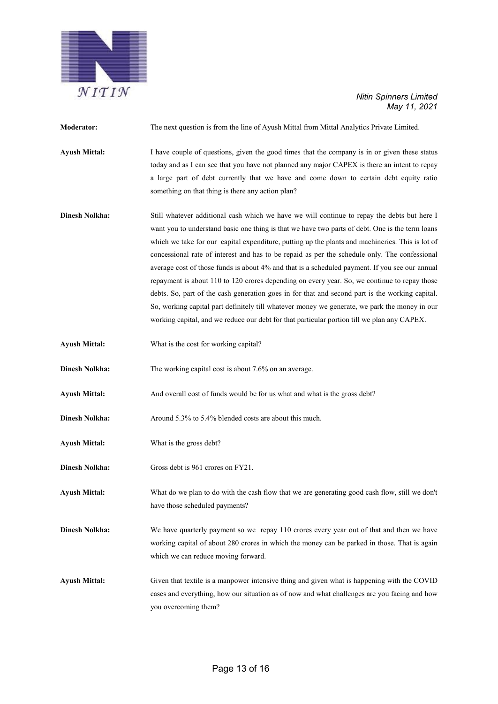

| <b>Moderator:</b>     | The next question is from the line of Ayush Mittal from Mittal Analytics Private Limited.                                                                                                                                                                                                                                                                                                                                                                                                                                                                                                                                                                                                                                                                                                                                                                                                                |
|-----------------------|----------------------------------------------------------------------------------------------------------------------------------------------------------------------------------------------------------------------------------------------------------------------------------------------------------------------------------------------------------------------------------------------------------------------------------------------------------------------------------------------------------------------------------------------------------------------------------------------------------------------------------------------------------------------------------------------------------------------------------------------------------------------------------------------------------------------------------------------------------------------------------------------------------|
| <b>Ayush Mittal:</b>  | I have couple of questions, given the good times that the company is in or given these status<br>today and as I can see that you have not planned any major CAPEX is there an intent to repay<br>a large part of debt currently that we have and come down to certain debt equity ratio<br>something on that thing is there any action plan?                                                                                                                                                                                                                                                                                                                                                                                                                                                                                                                                                             |
| <b>Dinesh Nolkha:</b> | Still whatever additional cash which we have we will continue to repay the debts but here I<br>want you to understand basic one thing is that we have two parts of debt. One is the term loans<br>which we take for our capital expenditure, putting up the plants and machineries. This is lot of<br>concessional rate of interest and has to be repaid as per the schedule only. The confessional<br>average cost of those funds is about 4% and that is a scheduled payment. If you see our annual<br>repayment is about 110 to 120 crores depending on every year. So, we continue to repay those<br>debts. So, part of the cash generation goes in for that and second part is the working capital.<br>So, working capital part definitely till whatever money we generate, we park the money in our<br>working capital, and we reduce our debt for that particular portion till we plan any CAPEX. |
| <b>Ayush Mittal:</b>  | What is the cost for working capital?                                                                                                                                                                                                                                                                                                                                                                                                                                                                                                                                                                                                                                                                                                                                                                                                                                                                    |
| <b>Dinesh Nolkha:</b> | The working capital cost is about 7.6% on an average.                                                                                                                                                                                                                                                                                                                                                                                                                                                                                                                                                                                                                                                                                                                                                                                                                                                    |
| <b>Ayush Mittal:</b>  | And overall cost of funds would be for us what and what is the gross debt?                                                                                                                                                                                                                                                                                                                                                                                                                                                                                                                                                                                                                                                                                                                                                                                                                               |
| <b>Dinesh Nolkha:</b> | Around 5.3% to 5.4% blended costs are about this much.                                                                                                                                                                                                                                                                                                                                                                                                                                                                                                                                                                                                                                                                                                                                                                                                                                                   |
| <b>Ayush Mittal:</b>  | What is the gross debt?                                                                                                                                                                                                                                                                                                                                                                                                                                                                                                                                                                                                                                                                                                                                                                                                                                                                                  |
| <b>Dinesh Nolkha:</b> | Gross debt is 961 crores on FY21.                                                                                                                                                                                                                                                                                                                                                                                                                                                                                                                                                                                                                                                                                                                                                                                                                                                                        |
| <b>Ayush Mittal:</b>  | What do we plan to do with the cash flow that we are generating good cash flow, still we don't<br>have those scheduled payments?                                                                                                                                                                                                                                                                                                                                                                                                                                                                                                                                                                                                                                                                                                                                                                         |
| <b>Dinesh Nolkha:</b> | We have quarterly payment so we repay 110 crores every year out of that and then we have<br>working capital of about 280 crores in which the money can be parked in those. That is again<br>which we can reduce moving forward.                                                                                                                                                                                                                                                                                                                                                                                                                                                                                                                                                                                                                                                                          |
| <b>Ayush Mittal:</b>  | Given that textile is a manpower intensive thing and given what is happening with the COVID<br>cases and everything, how our situation as of now and what challenges are you facing and how<br>you overcoming them?                                                                                                                                                                                                                                                                                                                                                                                                                                                                                                                                                                                                                                                                                      |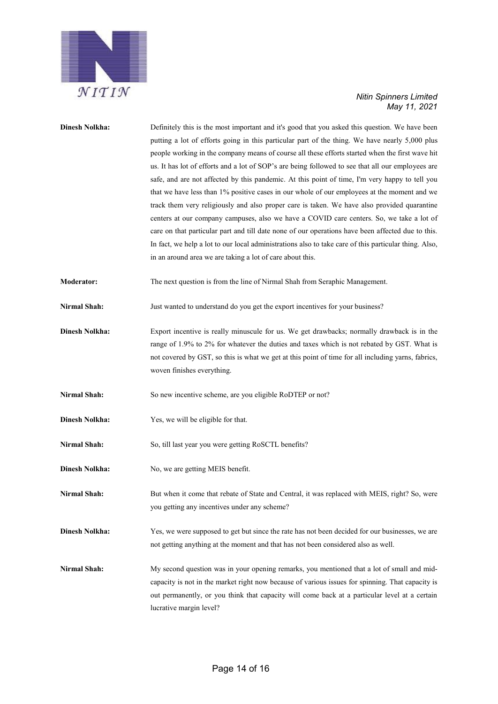

| <b>Dinesh Nolkha:</b> | Definitely this is the most important and it's good that you asked this question. We have been<br>putting a lot of efforts going in this particular part of the thing. We have nearly 5,000 plus<br>people working in the company means of course all these efforts started when the first wave hit<br>us. It has lot of efforts and a lot of SOP's are being followed to see that all our employees are<br>safe, and are not affected by this pandemic. At this point of time, I'm very happy to tell you<br>that we have less than 1% positive cases in our whole of our employees at the moment and we<br>track them very religiously and also proper care is taken. We have also provided quarantine<br>centers at our company campuses, also we have a COVID care centers. So, we take a lot of<br>care on that particular part and till date none of our operations have been affected due to this.<br>In fact, we help a lot to our local administrations also to take care of this particular thing. Also,<br>in an around area we are taking a lot of care about this. |
|-----------------------|---------------------------------------------------------------------------------------------------------------------------------------------------------------------------------------------------------------------------------------------------------------------------------------------------------------------------------------------------------------------------------------------------------------------------------------------------------------------------------------------------------------------------------------------------------------------------------------------------------------------------------------------------------------------------------------------------------------------------------------------------------------------------------------------------------------------------------------------------------------------------------------------------------------------------------------------------------------------------------------------------------------------------------------------------------------------------------|
| <b>Moderator:</b>     | The next question is from the line of Nirmal Shah from Seraphic Management.                                                                                                                                                                                                                                                                                                                                                                                                                                                                                                                                                                                                                                                                                                                                                                                                                                                                                                                                                                                                     |
| <b>Nirmal Shah:</b>   | Just wanted to understand do you get the export incentives for your business?                                                                                                                                                                                                                                                                                                                                                                                                                                                                                                                                                                                                                                                                                                                                                                                                                                                                                                                                                                                                   |
| <b>Dinesh Nolkha:</b> | Export incentive is really minuscule for us. We get drawbacks; normally drawback is in the<br>range of 1.9% to 2% for whatever the duties and taxes which is not rebated by GST. What is<br>not covered by GST, so this is what we get at this point of time for all including yarns, fabrics,<br>woven finishes everything.                                                                                                                                                                                                                                                                                                                                                                                                                                                                                                                                                                                                                                                                                                                                                    |
| <b>Nirmal Shah:</b>   | So new incentive scheme, are you eligible RoDTEP or not?                                                                                                                                                                                                                                                                                                                                                                                                                                                                                                                                                                                                                                                                                                                                                                                                                                                                                                                                                                                                                        |
| <b>Dinesh Nolkha:</b> | Yes, we will be eligible for that.                                                                                                                                                                                                                                                                                                                                                                                                                                                                                                                                                                                                                                                                                                                                                                                                                                                                                                                                                                                                                                              |
| <b>Nirmal Shah:</b>   | So, till last year you were getting RoSCTL benefits?                                                                                                                                                                                                                                                                                                                                                                                                                                                                                                                                                                                                                                                                                                                                                                                                                                                                                                                                                                                                                            |
| <b>Dinesh Nolkha:</b> | No, we are getting MEIS benefit.                                                                                                                                                                                                                                                                                                                                                                                                                                                                                                                                                                                                                                                                                                                                                                                                                                                                                                                                                                                                                                                |
| Nirmal Shah:          | But when it come that rebate of State and Central, it was replaced with MEIS, right? So, were<br>you getting any incentives under any scheme?                                                                                                                                                                                                                                                                                                                                                                                                                                                                                                                                                                                                                                                                                                                                                                                                                                                                                                                                   |
| <b>Dinesh Nolkha:</b> | Yes, we were supposed to get but since the rate has not been decided for our businesses, we are<br>not getting anything at the moment and that has not been considered also as well.                                                                                                                                                                                                                                                                                                                                                                                                                                                                                                                                                                                                                                                                                                                                                                                                                                                                                            |
| Nirmal Shah:          | My second question was in your opening remarks, you mentioned that a lot of small and mid-<br>capacity is not in the market right now because of various issues for spinning. That capacity is<br>out permanently, or you think that capacity will come back at a particular level at a certain<br>lucrative margin level?                                                                                                                                                                                                                                                                                                                                                                                                                                                                                                                                                                                                                                                                                                                                                      |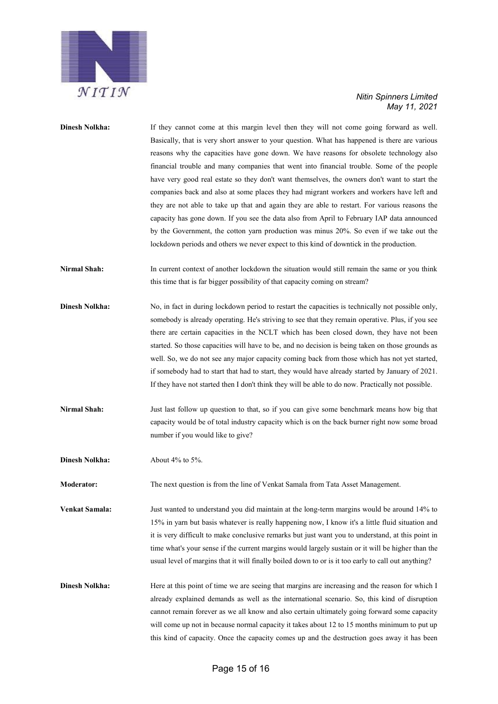

| <b>Dinesh Nolkha:</b> | If they cannot come at this margin level then they will not come going forward as well.<br>Basically, that is very short answer to your question. What has happened is there are various<br>reasons why the capacities have gone down. We have reasons for obsolete technology also<br>financial trouble and many companies that went into financial trouble. Some of the people<br>have very good real estate so they don't want themselves, the owners don't want to start the<br>companies back and also at some places they had migrant workers and workers have left and<br>they are not able to take up that and again they are able to restart. For various reasons the<br>capacity has gone down. If you see the data also from April to February IAP data announced<br>by the Government, the cotton yarn production was minus 20%. So even if we take out the<br>lockdown periods and others we never expect to this kind of downtick in the production. |
|-----------------------|--------------------------------------------------------------------------------------------------------------------------------------------------------------------------------------------------------------------------------------------------------------------------------------------------------------------------------------------------------------------------------------------------------------------------------------------------------------------------------------------------------------------------------------------------------------------------------------------------------------------------------------------------------------------------------------------------------------------------------------------------------------------------------------------------------------------------------------------------------------------------------------------------------------------------------------------------------------------|
| Nirmal Shah:          | In current context of another lockdown the situation would still remain the same or you think<br>this time that is far bigger possibility of that capacity coming on stream?                                                                                                                                                                                                                                                                                                                                                                                                                                                                                                                                                                                                                                                                                                                                                                                       |
| <b>Dinesh Nolkha:</b> | No, in fact in during lockdown period to restart the capacities is technically not possible only,<br>somebody is already operating. He's striving to see that they remain operative. Plus, if you see<br>there are certain capacities in the NCLT which has been closed down, they have not been<br>started. So those capacities will have to be, and no decision is being taken on those grounds as<br>well. So, we do not see any major capacity coming back from those which has not yet started,<br>if somebody had to start that had to start, they would have already started by January of 2021.<br>If they have not started then I don't think they will be able to do now. Practically not possible.                                                                                                                                                                                                                                                      |
| <b>Nirmal Shah:</b>   | Just last follow up question to that, so if you can give some benchmark means how big that<br>capacity would be of total industry capacity which is on the back burner right now some broad<br>number if you would like to give?                                                                                                                                                                                                                                                                                                                                                                                                                                                                                                                                                                                                                                                                                                                                   |
| <b>Dinesh Nolkha:</b> | About 4% to 5%.                                                                                                                                                                                                                                                                                                                                                                                                                                                                                                                                                                                                                                                                                                                                                                                                                                                                                                                                                    |
| <b>Moderator:</b>     | The next question is from the line of Venkat Samala from Tata Asset Management.                                                                                                                                                                                                                                                                                                                                                                                                                                                                                                                                                                                                                                                                                                                                                                                                                                                                                    |
| Venkat Samala:        | Just wanted to understand you did maintain at the long-term margins would be around 14% to<br>15% in yarn but basis whatever is really happening now, I know it's a little fluid situation and<br>it is very difficult to make conclusive remarks but just want you to understand, at this point in<br>time what's your sense if the current margins would largely sustain or it will be higher than the<br>usual level of margins that it will finally boiled down to or is it too early to call out anything?                                                                                                                                                                                                                                                                                                                                                                                                                                                    |
| <b>Dinesh Nolkha:</b> | Here at this point of time we are seeing that margins are increasing and the reason for which I<br>already explained demands as well as the international scenario. So, this kind of disruption<br>cannot remain forever as we all know and also certain ultimately going forward some capacity<br>will come up not in because normal capacity it takes about 12 to 15 months minimum to put up<br>this kind of capacity. Once the capacity comes up and the destruction goes away it has been                                                                                                                                                                                                                                                                                                                                                                                                                                                                     |